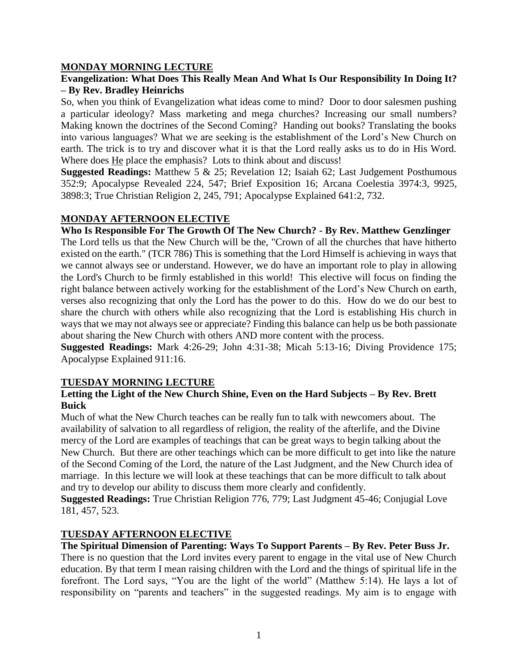### **MONDAY MORNING LECTURE**

## **Evangelization: What Does This Really Mean And What Is Our Responsibility In Doing It? – By Rev. Bradley Heinrichs**

So, when you think of Evangelization what ideas come to mind? Door to door salesmen pushing a particular ideology? Mass marketing and mega churches? Increasing our small numbers? Making known the doctrines of the Second Coming? Handing out books? Translating the books into various languages? What we are seeking is the establishment of the Lord's New Church on earth. The trick is to try and discover what it is that the Lord really asks us to do in His Word. Where does He place the emphasis? Lots to think about and discuss!

**Suggested Readings:** Matthew 5 & 25; Revelation 12; Isaiah 62; Last Judgement Posthumous 352:9; Apocalypse Revealed 224, 547; Brief Exposition 16; Arcana Coelestia 3974:3, 9925, 3898:3; True Christian Religion 2, 245, 791; Apocalypse Explained 641:2, 732.

# **MONDAY AFTERNOON ELECTIVE**

**Who Is Responsible For The Growth Of The New Church? - By Rev. Matthew Genzlinger**

The Lord tells us that the New Church will be the, "Crown of all the churches that have hitherto existed on the earth." (TCR 786) This is something that the Lord Himself is achieving in ways that we cannot always see or understand. However, we do have an important role to play in allowing the Lord's Church to be firmly established in this world! This elective will focus on finding the right balance between actively working for the establishment of the Lord's New Church on earth, verses also recognizing that only the Lord has the power to do this. How do we do our best to share the church with others while also recognizing that the Lord is establishing His church in ways that we may not always see or appreciate? Finding this balance can help us be both passionate about sharing the New Church with others AND more content with the process.

**Suggested Readings:** Mark 4:26-29; John 4:31-38; Micah 5:13-16; Diving Providence 175; Apocalypse Explained 911:16.

### **TUESDAY MORNING LECTURE**

### **Letting the Light of the New Church Shine, Even on the Hard Subjects – By Rev. Brett Buick**

Much of what the New Church teaches can be really fun to talk with newcomers about. The availability of salvation to all regardless of religion, the reality of the afterlife, and the Divine mercy of the Lord are examples of teachings that can be great ways to begin talking about the New Church. But there are other teachings which can be more difficult to get into like the nature of the Second Coming of the Lord, the nature of the Last Judgment, and the New Church idea of marriage. In this lecture we will look at these teachings that can be more difficult to talk about and try to develop our ability to discuss them more clearly and confidently.

**Suggested Readings:** True Christian Religion 776, 779; Last Judgment 45-46; Conjugial Love 181, 457, 523.

## **TUESDAY AFTERNOON ELECTIVE**

**The Spiritual Dimension of Parenting: Ways To Support Parents – By Rev. Peter Buss Jr.** There is no question that the Lord invites every parent to engage in the vital use of New Church education. By that term I mean raising children with the Lord and the things of spiritual life in the forefront. The Lord says, "You are the light of the world" (Matthew 5:14). He lays a lot of responsibility on "parents and teachers" in the suggested readings. My aim is to engage with